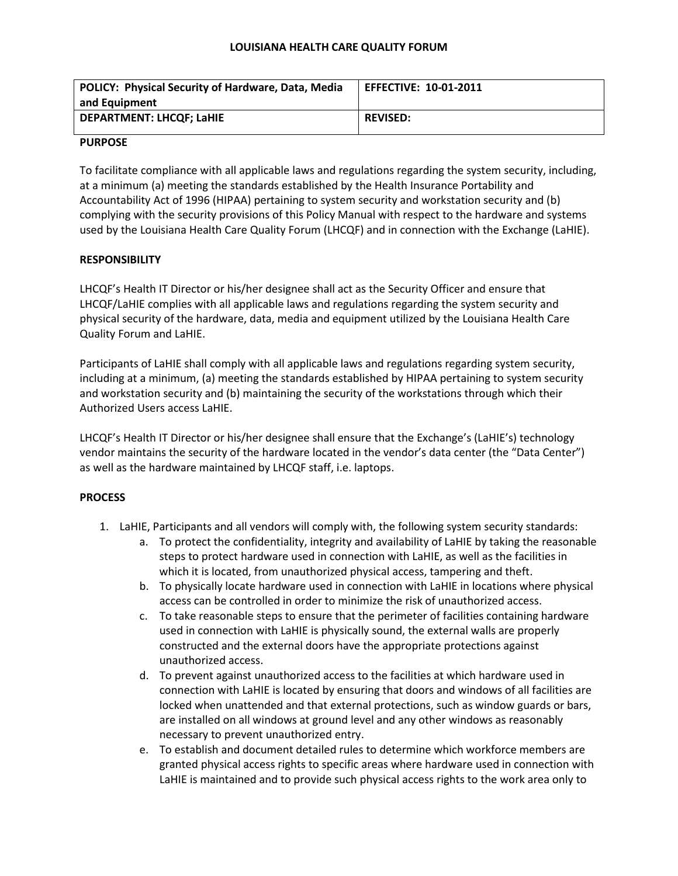#### **LOUISIANA HEALTH CARE QUALITY FORUM**

| <b>POLICY: Physical Security of Hardware, Data, Media</b> | <b>EFFECTIVE: 10-01-2011</b> |
|-----------------------------------------------------------|------------------------------|
| and Equipment                                             |                              |
| <b>DEPARTMENT: LHCOF: LaHIE</b>                           | <b>REVISED:</b>              |
|                                                           |                              |

#### **PURPOSE**

To facilitate compliance with all applicable laws and regulations regarding the system security, including, at a minimum (a) meeting the standards established by the Health Insurance Portability and Accountability Act of 1996 (HIPAA) pertaining to system security and workstation security and (b) complying with the security provisions of this Policy Manual with respect to the hardware and systems used by the Louisiana Health Care Quality Forum (LHCQF) and in connection with the Exchange (LaHIE).

### **RESPONSIBILITY**

LHCQF's Health IT Director or his/her designee shall act as the Security Officer and ensure that LHCQF/LaHIE complies with all applicable laws and regulations regarding the system security and physical security of the hardware, data, media and equipment utilized by the Louisiana Health Care Quality Forum and LaHIE.

Participants of LaHIE shall comply with all applicable laws and regulations regarding system security, including at a minimum, (a) meeting the standards established by HIPAA pertaining to system security and workstation security and (b) maintaining the security of the workstations through which their Authorized Users access LaHIE.

LHCQF's Health IT Director or his/her designee shall ensure that the Exchange's (LaHIE's) technology vendor maintains the security of the hardware located in the vendor's data center (the "Data Center") as well as the hardware maintained by LHCQF staff, i.e. laptops.

### **PROCESS**

- 1. LaHIE, Participants and all vendors will comply with, the following system security standards:
	- a. To protect the confidentiality, integrity and availability of LaHIE by taking the reasonable steps to protect hardware used in connection with LaHIE, as well as the facilities in which it is located, from unauthorized physical access, tampering and theft.
	- b. To physically locate hardware used in connection with LaHIE in locations where physical access can be controlled in order to minimize the risk of unauthorized access.
	- c. To take reasonable steps to ensure that the perimeter of facilities containing hardware used in connection with LaHIE is physically sound, the external walls are properly constructed and the external doors have the appropriate protections against unauthorized access.
	- d. To prevent against unauthorized access to the facilities at which hardware used in connection with LaHIE is located by ensuring that doors and windows of all facilities are locked when unattended and that external protections, such as window guards or bars, are installed on all windows at ground level and any other windows as reasonably necessary to prevent unauthorized entry.
	- e. To establish and document detailed rules to determine which workforce members are granted physical access rights to specific areas where hardware used in connection with LaHIE is maintained and to provide such physical access rights to the work area only to